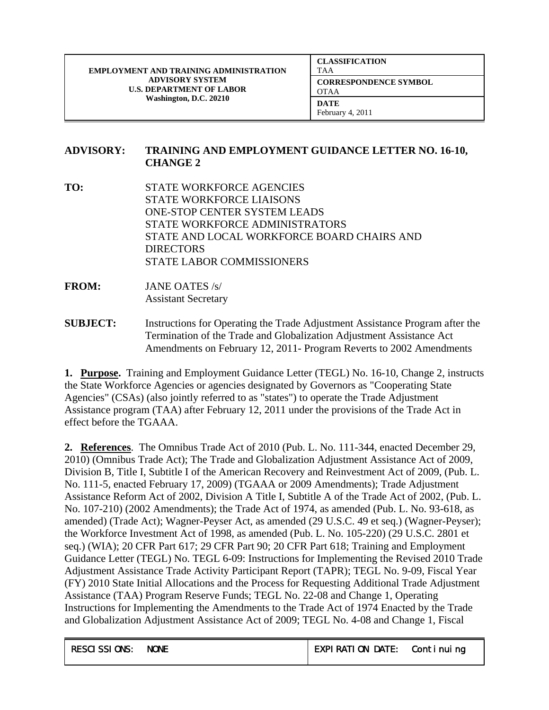| <b>CLASSIFICATION</b><br><b>TAA</b>         |
|---------------------------------------------|
| <b>CORRESPONDENCE SYMBOL</b><br><b>OTAA</b> |
| DATE<br>February 4, 2011                    |

## **ADVISORY: TRAINING AND EMPLOYMENT GUIDANCE LETTER NO. 16-10, CHANGE 2**

- **TO:** STATE WORKFORCE AGENCIES STATE WORKFORCE LIAISONS ONE-STOP CENTER SYSTEM LEADS STATE WORKFORCE ADMINISTRATORS STATE AND LOCAL WORKFORCE BOARD CHAIRS AND **DIRECTORS** STATE LABOR COMMISSIONERS
- **FROM:** JANE OATES /s/ Assistant Secretary
- **SUBJECT:** Instructions for Operating the Trade Adjustment Assistance Program after the Termination of the Trade and Globalization Adjustment Assistance Act Amendments on February 12, 2011- Program Reverts to 2002 Amendments

**1. Purpose.** Training and Employment Guidance Letter (TEGL) No. 16-10, Change 2, instructs the State Workforce Agencies or agencies designated by Governors as "Cooperating State Agencies" (CSAs) (also jointly referred to as "states") to operate the Trade Adjustment Assistance program (TAA) after February 12, 2011 under the provisions of the Trade Act in effect before the TGAAA.

**2. References**. The Omnibus Trade Act of 2010 (Pub. L. No. 111-344, enacted December 29, 2010) (Omnibus Trade Act); The Trade and Globalization Adjustment Assistance Act of 2009, Division B, Title I, Subtitle I of the American Recovery and Reinvestment Act of 2009, (Pub. L. No. 111-5, enacted February 17, 2009) (TGAAA or 2009 Amendments); Trade Adjustment Assistance Reform Act of 2002, Division A Title I, Subtitle A of the Trade Act of 2002, (Pub. L. No. 107-210) (2002 Amendments); the Trade Act of 1974, as amended (Pub. L. No. 93-618, as amended) (Trade Act); Wagner-Peyser Act, as amended (29 U.S.C. 49 et seq.) (Wagner-Peyser); the Workforce Investment Act of 1998, as amended (Pub. L. No. 105-220) (29 U.S.C. 2801 et seq.) (WIA); 20 CFR Part 617; 29 CFR Part 90; 20 CFR Part 618; Training and Employment Guidance Letter (TEGL) No. TEGL 6-09: Instructions for Implementing the Revised 2010 Trade Adjustment Assistance Trade Activity Participant Report (TAPR); TEGL No. 9-09, Fiscal Year (FY) 2010 State Initial Allocations and the Process for Requesting Additional Trade Adjustment Assistance (TAA) Program Reserve Funds; TEGL No. 22-08 and Change 1, Operating Instructions for Implementing the Amendments to the Trade Act of 1974 Enacted by the Trade and Globalization Adjustment Assistance Act of 2009; TEGL No. 4-08 and Change 1, Fiscal

| <b>RESCISSIONS:</b> | <b>NONE</b> | <b>EXPI RATI ON DATE:</b> | Continuing |
|---------------------|-------------|---------------------------|------------|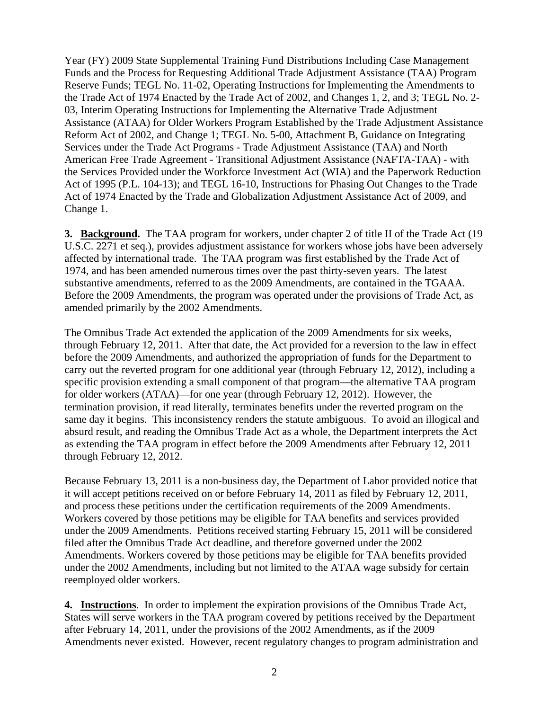Year (FY) 2009 State Supplemental Training Fund Distributions Including Case Management Funds and the Process for Requesting Additional Trade Adjustment Assistance (TAA) Program Reserve Funds; TEGL No. 11-02, Operating Instructions for Implementing the Amendments to the Trade Act of 1974 Enacted by the Trade Act of 2002, and Changes 1, 2, and 3; TEGL No. 2- 03, Interim Operating Instructions for Implementing the Alternative Trade Adjustment Assistance (ATAA) for Older Workers Program Established by the Trade Adjustment Assistance Reform Act of 2002, and Change 1; TEGL No. 5-00, Attachment B, Guidance on Integrating Services under the Trade Act Programs - Trade Adjustment Assistance (TAA) and North American Free Trade Agreement - Transitional Adjustment Assistance (NAFTA-TAA) - with the Services Provided under the Workforce Investment Act (WIA) and the Paperwork Reduction Act of 1995 (P.L. 104-13); and TEGL 16-10, Instructions for Phasing Out Changes to the Trade Act of 1974 Enacted by the Trade and Globalization Adjustment Assistance Act of 2009, and Change 1.

**3. Background.** The TAA program for workers, under chapter 2 of title II of the Trade Act (19 U.S.C. 2271 et seq.), provides adjustment assistance for workers whose jobs have been adversely affected by international trade. The TAA program was first established by the Trade Act of 1974, and has been amended numerous times over the past thirty-seven years. The latest substantive amendments, referred to as the 2009 Amendments, are contained in the TGAAA. Before the 2009 Amendments, the program was operated under the provisions of Trade Act, as amended primarily by the 2002 Amendments.

The Omnibus Trade Act extended the application of the 2009 Amendments for six weeks, through February 12, 2011. After that date, the Act provided for a reversion to the law in effect before the 2009 Amendments, and authorized the appropriation of funds for the Department to carry out the reverted program for one additional year (through February 12, 2012), including a specific provision extending a small component of that program—the alternative TAA program for older workers (ATAA)—for one year (through February 12, 2012). However, the termination provision, if read literally, terminates benefits under the reverted program on the same day it begins. This inconsistency renders the statute ambiguous. To avoid an illogical and absurd result, and reading the Omnibus Trade Act as a whole, the Department interprets the Act as extending the TAA program in effect before the 2009 Amendments after February 12, 2011 through February 12, 2012.

Because February 13, 2011 is a non-business day, the Department of Labor provided notice that it will accept petitions received on or before February 14, 2011 as filed by February 12, 2011, and process these petitions under the certification requirements of the 2009 Amendments. Workers covered by those petitions may be eligible for TAA benefits and services provided under the 2009 Amendments. Petitions received starting February 15, 2011 will be considered filed after the Omnibus Trade Act deadline, and therefore governed under the 2002 Amendments. Workers covered by those petitions may be eligible for TAA benefits provided under the 2002 Amendments, including but not limited to the ATAA wage subsidy for certain reemployed older workers.

**4. Instructions**. In order to implement the expiration provisions of the Omnibus Trade Act, States will serve workers in the TAA program covered by petitions received by the Department after February 14, 2011, under the provisions of the 2002 Amendments, as if the 2009 Amendments never existed. However, recent regulatory changes to program administration and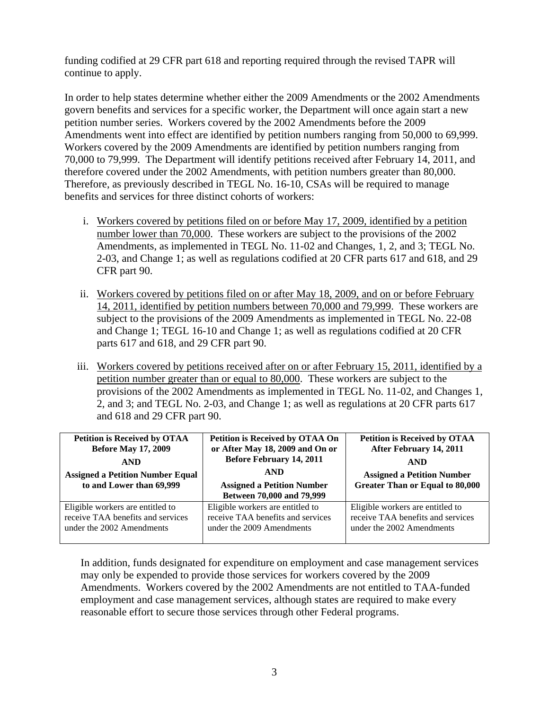funding codified at 29 CFR part 618 and reporting required through the revised TAPR will continue to apply.

In order to help states determine whether either the 2009 Amendments or the 2002 Amendments govern benefits and services for a specific worker, the Department will once again start a new petition number series. Workers covered by the 2002 Amendments before the 2009 Amendments went into effect are identified by petition numbers ranging from 50,000 to 69,999. Workers covered by the 2009 Amendments are identified by petition numbers ranging from 70,000 to 79,999. The Department will identify petitions received after February 14, 2011, and therefore covered under the 2002 Amendments, with petition numbers greater than 80,000. Therefore, as previously described in TEGL No. 16-10, CSAs will be required to manage benefits and services for three distinct cohorts of workers:

- i. Workers covered by petitions filed on or before May 17, 2009, identified by a petition number lower than 70,000. These workers are subject to the provisions of the 2002 Amendments, as implemented in TEGL No. 11-02 and Changes, 1, 2, and 3; TEGL No. 2-03, and Change 1; as well as regulations codified at 20 CFR parts 617 and 618, and 29 CFR part 90.
- ii. Workers covered by petitions filed on or after May 18, 2009, and on or before February 14, 2011, identified by petition numbers between 70,000 and 79,999. These workers are subject to the provisions of the 2009 Amendments as implemented in TEGL No. 22-08 and Change 1; TEGL 16-10 and Change 1; as well as regulations codified at 20 CFR parts 617 and 618, and 29 CFR part 90.
- iii. Workers covered by petitions received after on or after February 15, 2011, identified by a petition number greater than or equal to 80,000. These workers are subject to the provisions of the 2002 Amendments as implemented in TEGL No. 11-02, and Changes 1, 2, and 3; and TEGL No. 2-03, and Change 1; as well as regulations at 20 CFR parts 617 and 618 and 29 CFR part 90.

| <b>Petition is Received by OTAA</b><br><b>Before May 17, 2009</b><br><b>AND</b><br><b>Assigned a Petition Number Equal</b><br>to and Lower than 69,999 | Petition is Received by OTAA On<br>or After May 18, 2009 and On or<br><b>Before February 14, 2011</b><br><b>AND</b><br><b>Assigned a Petition Number</b><br>Between 70,000 and 79,999 | <b>Petition is Received by OTAA</b><br>After February 14, 2011<br><b>AND</b><br><b>Assigned a Petition Number</b><br><b>Greater Than or Equal to 80,000</b> |
|--------------------------------------------------------------------------------------------------------------------------------------------------------|---------------------------------------------------------------------------------------------------------------------------------------------------------------------------------------|-------------------------------------------------------------------------------------------------------------------------------------------------------------|
| Eligible workers are entitled to                                                                                                                       | Eligible workers are entitled to                                                                                                                                                      | Eligible workers are entitled to                                                                                                                            |
| receive TAA benefits and services                                                                                                                      | receive TAA benefits and services                                                                                                                                                     | receive TAA benefits and services                                                                                                                           |
| under the 2002 Amendments                                                                                                                              | under the 2009 Amendments                                                                                                                                                             | under the 2002 Amendments                                                                                                                                   |

In addition, funds designated for expenditure on employment and case management services may only be expended to provide those services for workers covered by the 2009 Amendments. Workers covered by the 2002 Amendments are not entitled to TAA-funded employment and case management services, although states are required to make every reasonable effort to secure those services through other Federal programs.